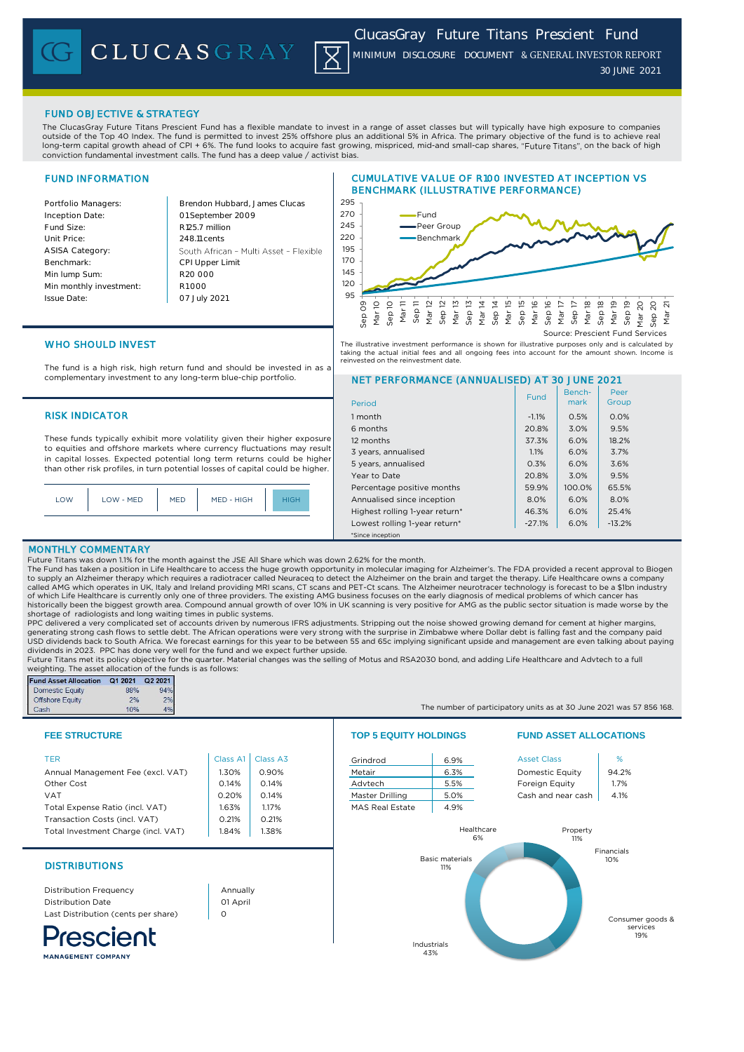

## FUND OBJECTIVE & STRATEGY

The ClucasGray Future Titans Prescient Fund has a flexible mandate to invest in a range of asset classes but will typically have high exposure to companies outside of the Top 40 Index. The fund is permitted to invest 25% offshore plus an additional 5% in Africa. The primary objective of the fund is to achieve real long-term capital growth ahead of CPI + 6%. The fund looks to acquire fast growing, mispriced, mid-and small-cap shares, "Future Titans", on the back of high conviction fundamental investment calls. The fund has a deep value / activist bias.

# FUND INFORMATION

Inception Date:

ASISA Category: Benchmark: Min lump Sum:

Issue Date:

Portfolio Managers: Brendon Hubbard, James Clucas 01 September 2009 Fund Size: R125.7 million Unit Price: 248.11 cents South African - Multi Asset - Flexible CPI Upper Limit R20 000 Min monthly investment: R1 000 07 July 2021





taking the actual initial fees and all ongoing fees into account for the amount shown. Income is

NET PERFORMANCE (ANNUALISED) AT 30 JUNE 2021

6 months 20.8% 3.0% 9.5% 12 months 37.3% 6.0% 18.2% 3 years, annualised 1.1% 1.1% 6.0% 3.7% 5 years, annualised 0.3% 6.0% 3.6% Year to Date 20.8% 3.0% 9.5% Percentage positive months 199.9% 100.0% 65.5% Annualised since inception **8.0% 6.0% 8.0%** Highest rolling 1-year return\*  $46.3\%$  6.0% 25.4% Lowest rolling 1-year return\*  $\vert$  -27.1% 6.0% -13.2%

WHO SHOULD INVEST

The fund is a high risk, high return fund and should be invested in as a complementary investment to any long-term blue-chip portfolio.

## RISK INDICATOR 1 month 1 month 1 month 1 month 1 month 1 month 1 month 1 month 1 month 1 month 1 month 1 month

These funds typically exhibit more volatility given their higher exposure to equities and offshore markets where currency fluctuations may result in capital losses. Expected potential long term returns could be higher than other risk profiles, in turn potential losses of capital could be higher.

|  | LOW | LOW - MED | <b>MED</b> | MED - HIGH | <b>IIGH</b> |
|--|-----|-----------|------------|------------|-------------|
|--|-----|-----------|------------|------------|-------------|

## MONTHLY COMMENTARY

Future Titans was down 1.1% for the month against the JSE All Share which was down 2.62% for the month.<br>The Fund has taken a position in Life Healthcare to access the huge growth opportunity in molecular imaging for Alzhei to supply an Alzheimer therapy which requires a radiotracer called Neuraceq to detect the Alzheimer on the brain and target the therapy. Life Healthcare owns a company called AMG which operates in UK, Italy and Ireland providing MRI scans, CT scans and PET-Ct scans. The Alzheimer neurotracer technology is forecast to be a \$1bn industry<br>of which Life Healthcare is currently only one of th historically been the biggest growth area. Compound annual growth of over 10% in UK scanning is very positive for AMG as the public sector situation is made worse by the shortage of radiologists and long waiting times in public systems.

\*Since inception

Period

reinvested on the reinvestment date.

PPC delivered a very complicated set of accounts driven by numerous IFRS adjustments. Stripping out the noise showed growing demand for cement at higher margins generating strong cash flows to settle debt. The African operations were very strong with the surprise in Zimbabwe where Dollar debt is falling fast and the company paid USD dividends back to South Africa. We forecast earnings for this year to be between 55 and 65c implying significant upside and management are even talking about paying dividends in 2023. PPC has done very well for the fund and we expect further upside.

Future Titans met its policy objective for the quarter. Material changes was the selling of Motus and RSA2030 bond, and adding Life Healthcare and Advtech to a full weighting. The asset allocation of the funds is as follows:

| <b>Fund Asset Allocation</b> | Q1 2021 | Q2 2021 |
|------------------------------|---------|---------|
| <b>Domestic Equity</b>       | 88%     | 94%     |
| <b>Offshore Equity</b>       | 2%      | 2%      |
| Cash                         | 10%     | 4%      |

| TER.                                | Class $AI$ | Class A3 | Grindrod               | 6.9%             | <b>Asset Class</b>     | %     |
|-------------------------------------|------------|----------|------------------------|------------------|------------------------|-------|
| Annual Management Fee (excl. VAT)   | .30%       | 0.90%    | Metair                 | 6.3%             | <b>Domestic Equity</b> | 94.2% |
| Other Cost                          | 0.14%      | 0.14%    | Advtech                | 5.5%             | Foreign Equity         | 1.7%  |
| <b>VAT</b>                          | 0.20%      | 0.14%    | Master Drilling        | 5.0%             | Cash and near cash     | 4.1%  |
| Total Expense Ratio (incl. VAT)     | 1.63%      | 1.17%    | <b>MAS Real Estate</b> | 4.9%             |                        |       |
| Transaction Costs (incl. VAT)       | 0.21%      | 0.21%    |                        |                  |                        |       |
| Total Investment Charge (incl. VAT) | 1.84%      | .38%     |                        | Healthcare<br>6% | Property<br>11%        |       |

# **DISTRIBUTIONS**

Distribution Frequency Distribution Date Last Distribution (cents per share)

rescient

Annually 01 April  $\Omega$ 



## **FEE STRUCTURE TOP 5 EQUITY HOLDINGS FUND ASSET ALLOCATIONS**

The number of participatory units as at 30 June 2021 was 57 856 168.

Benchmark

Fund Bench- Peer<br>mark Group

Peer



MANAGEMENT COMPANY